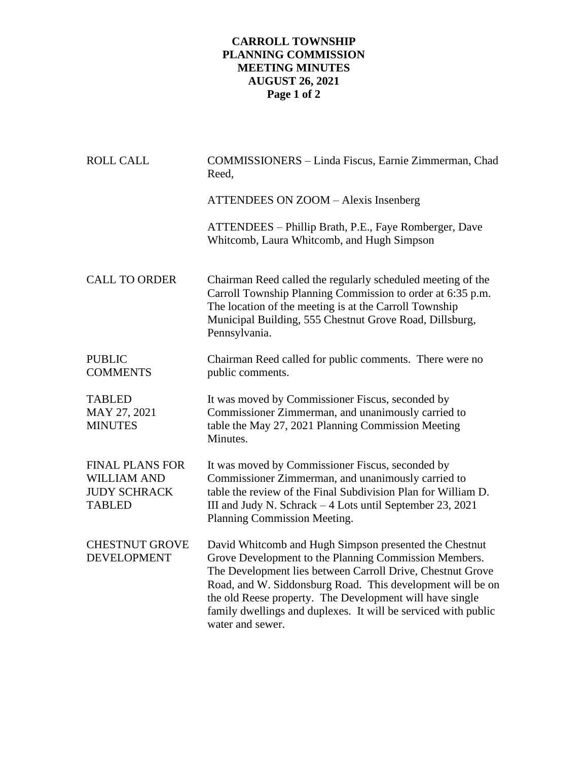## **CARROLL TOWNSHIP PLANNING COMMISSION MEETING MINUTES AUGUST 26, 2021 Page 1 of 2**

| <b>ROLL CALL</b>                                                                     | COMMISSIONERS - Linda Fiscus, Earnie Zimmerman, Chad<br>Reed,                                                                                                                                                                                                                                                                                                                                 |
|--------------------------------------------------------------------------------------|-----------------------------------------------------------------------------------------------------------------------------------------------------------------------------------------------------------------------------------------------------------------------------------------------------------------------------------------------------------------------------------------------|
|                                                                                      | ATTENDEES ON ZOOM - Alexis Insenberg                                                                                                                                                                                                                                                                                                                                                          |
|                                                                                      | ATTENDEES – Phillip Brath, P.E., Faye Romberger, Dave<br>Whitcomb, Laura Whitcomb, and Hugh Simpson                                                                                                                                                                                                                                                                                           |
| <b>CALL TO ORDER</b>                                                                 | Chairman Reed called the regularly scheduled meeting of the<br>Carroll Township Planning Commission to order at 6:35 p.m.<br>The location of the meeting is at the Carroll Township<br>Municipal Building, 555 Chestnut Grove Road, Dillsburg,<br>Pennsylvania.                                                                                                                               |
| <b>PUBLIC</b><br><b>COMMENTS</b>                                                     | Chairman Reed called for public comments. There were no<br>public comments.                                                                                                                                                                                                                                                                                                                   |
| <b>TABLED</b><br>MAY 27, 2021<br><b>MINUTES</b>                                      | It was moved by Commissioner Fiscus, seconded by<br>Commissioner Zimmerman, and unanimously carried to<br>table the May 27, 2021 Planning Commission Meeting<br>Minutes.                                                                                                                                                                                                                      |
| <b>FINAL PLANS FOR</b><br><b>WILLIAM AND</b><br><b>JUDY SCHRACK</b><br><b>TABLED</b> | It was moved by Commissioner Fiscus, seconded by<br>Commissioner Zimmerman, and unanimously carried to<br>table the review of the Final Subdivision Plan for William D.<br>III and Judy N. Schrack - 4 Lots until September 23, 2021<br>Planning Commission Meeting.                                                                                                                          |
| <b>CHESTNUT GROVE</b><br><b>DEVELOPMENT</b>                                          | David Whitcomb and Hugh Simpson presented the Chestnut<br>Grove Development to the Planning Commission Members.<br>The Development lies between Carroll Drive, Chestnut Grove<br>Road, and W. Siddonsburg Road. This development will be on<br>the old Reese property. The Development will have single<br>family dwellings and duplexes. It will be serviced with public<br>water and sewer. |